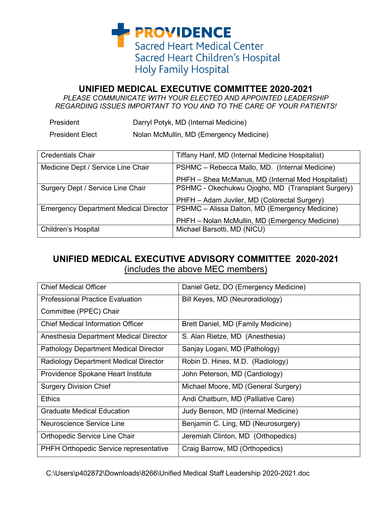**PROVIDENCE Sacred Heart Medical Center** Sacred Heart Children's Hospital **Holy Family Hospital** 

## **UNIFIED MEDICAL EXECUTIVE COMMITTEE 2020-2021**

*PLEASE COMMUNICATE WITH YOUR ELECTED AND APPOINTED LEADERSHIP REGARDING ISSUES IMPORTANT TO YOU AND TO THE CARE OF YOUR PATIENTS!*

| President | Darryl Potyk, MD (Internal Medicine) |
|-----------|--------------------------------------|
|           |                                      |

President Elect Nolan McMullin, MD (Emergency Medicine)

| <b>Credentials Chair</b>                     | Tiffany Hanf, MD (Internal Medicine Hospitalist)   |
|----------------------------------------------|----------------------------------------------------|
| Medicine Dept / Service Line Chair           | PSHMC - Rebecca Mallo, MD. (Internal Medicine)     |
|                                              | PHFH - Shea McManus, MD (Internal Med Hospitalist) |
| Surgery Dept / Service Line Chair            | PSHMC - Okechukwu Ojogho, MD (Transplant Surgery)  |
|                                              | PHFH - Adam Juviler, MD (Colorectal Surgery)       |
| <b>Emergency Department Medical Director</b> | PSHMC - Alissa Dalton, MD (Emergency Medicine)     |
|                                              | PHFH - Nolan McMullin, MD (Emergency Medicine)     |
| <b>Children's Hospital</b>                   | Michael Barsotti, MD (NICU)                        |

## **UNIFIED MEDICAL EXECUTIVE ADVISORY COMMITTEE 2020-2021** (includes the above MEC members)

| <b>Chief Medical Officer</b>                 | Daniel Getz, DO (Emergency Medicine) |
|----------------------------------------------|--------------------------------------|
| <b>Professional Practice Evaluation</b>      | Bill Keyes, MD (Neuroradiology)      |
| Committee (PPEC) Chair                       |                                      |
| <b>Chief Medical Information Officer</b>     | Brett Daniel, MD (Family Medicine)   |
| Anesthesia Department Medical Director       | S. Alan Rietze, MD (Anesthesia)      |
| <b>Pathology Department Medical Director</b> | Sanjay Logani, MD (Pathology)        |
| Radiology Department Medical Director        | Robin D. Hines, M.D. (Radiology)     |
| Providence Spokane Heart Institute           | John Peterson, MD (Cardiology)       |
| <b>Surgery Division Chief</b>                | Michael Moore, MD (General Surgery)  |
| <b>Ethics</b>                                | Andi Chatburn, MD (Palliative Care)  |
| <b>Graduate Medical Education</b>            | Judy Benson, MD (Internal Medicine)  |
| Neuroscience Service Line                    | Benjamin C. Ling, MD (Neurosurgery)  |
| Orthopedic Service Line Chair                | Jeremiah Clinton, MD (Orthopedics)   |
| PHFH Orthopedic Service representative       | Craig Barrow, MD (Orthopedics)       |

C:\Users\p402872\Downloads\8266\Unified Medical Staff Leadership 2020-2021.doc